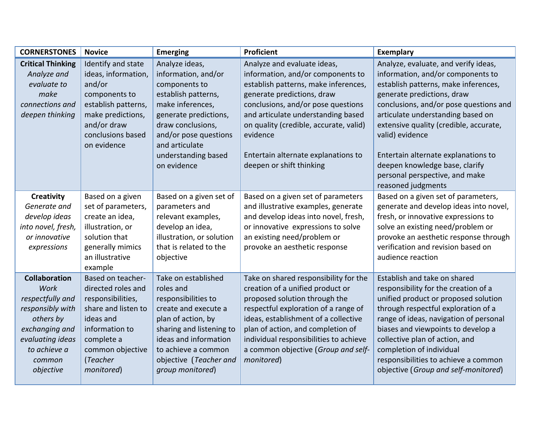| <b>CORNERSTONES</b>                                                                                                                                            | <b>Novice</b>                                                                                                                                                                  | <b>Emerging</b>                                                                                                                                                                                                                  | Proficient                                                                                                                                                                                                                                                                                                                                  | <b>Exemplary</b>                                                                                                                                                                                                                                                                                                                                                                                                             |
|----------------------------------------------------------------------------------------------------------------------------------------------------------------|--------------------------------------------------------------------------------------------------------------------------------------------------------------------------------|----------------------------------------------------------------------------------------------------------------------------------------------------------------------------------------------------------------------------------|---------------------------------------------------------------------------------------------------------------------------------------------------------------------------------------------------------------------------------------------------------------------------------------------------------------------------------------------|------------------------------------------------------------------------------------------------------------------------------------------------------------------------------------------------------------------------------------------------------------------------------------------------------------------------------------------------------------------------------------------------------------------------------|
| <b>Critical Thinking</b><br>Analyze and<br>evaluate to<br>make<br>connections and<br>deepen thinking                                                           | Identify and state<br>ideas, information,<br>and/or<br>components to<br>establish patterns,<br>make predictions,<br>and/or draw<br>conclusions based<br>on evidence            | Analyze ideas,<br>information, and/or<br>components to<br>establish patterns,<br>make inferences,<br>generate predictions,<br>draw conclusions,<br>and/or pose questions<br>and articulate<br>understanding based<br>on evidence | Analyze and evaluate ideas,<br>information, and/or components to<br>establish patterns, make inferences,<br>generate predictions, draw<br>conclusions, and/or pose questions<br>and articulate understanding based<br>on quality (credible, accurate, valid)<br>evidence<br>Entertain alternate explanations to<br>deepen or shift thinking | Analyze, evaluate, and verify ideas,<br>information, and/or components to<br>establish patterns, make inferences,<br>generate predictions, draw<br>conclusions, and/or pose questions and<br>articulate understanding based on<br>extensive quality (credible, accurate,<br>valid) evidence<br>Entertain alternate explanations to<br>deepen knowledge base, clarify<br>personal perspective, and make<br>reasoned judgments |
| Creativity<br>Generate and<br>develop ideas<br>into novel, fresh,<br>or innovative<br>expressions                                                              | Based on a given<br>set of parameters,<br>create an idea,<br>illustration, or<br>solution that<br>generally mimics<br>an illustrative<br>example                               | Based on a given set of<br>parameters and<br>relevant examples,<br>develop an idea,<br>illustration, or solution<br>that is related to the<br>objective                                                                          | Based on a given set of parameters<br>and illustrative examples, generate<br>and develop ideas into novel, fresh,<br>or innovative expressions to solve<br>an existing need/problem or<br>provoke an aesthetic response                                                                                                                     | Based on a given set of parameters,<br>generate and develop ideas into novel,<br>fresh, or innovative expressions to<br>solve an existing need/problem or<br>provoke an aesthetic response through<br>verification and revision based on<br>audience reaction                                                                                                                                                                |
| <b>Collaboration</b><br>Work<br>respectfully and<br>responsibly with<br>others by<br>exchanging and<br>evaluating ideas<br>to achieve a<br>common<br>objective | Based on teacher-<br>directed roles and<br>responsibilities,<br>share and listen to<br>ideas and<br>information to<br>complete a<br>common objective<br>(Teacher<br>monitored) | Take on established<br>roles and<br>responsibilities to<br>create and execute a<br>plan of action, by<br>sharing and listening to<br>ideas and information<br>to achieve a common<br>objective (Teacher and<br>group monitored)  | Take on shared responsibility for the<br>creation of a unified product or<br>proposed solution through the<br>respectful exploration of a range of<br>ideas, establishment of a collective<br>plan of action, and completion of<br>individual responsibilities to achieve<br>a common objective (Group and self-<br>monitored)              | Establish and take on shared<br>responsibility for the creation of a<br>unified product or proposed solution<br>through respectful exploration of a<br>range of ideas, navigation of personal<br>biases and viewpoints to develop a<br>collective plan of action, and<br>completion of individual<br>responsibilities to achieve a common<br>objective (Group and self-monitored)                                            |